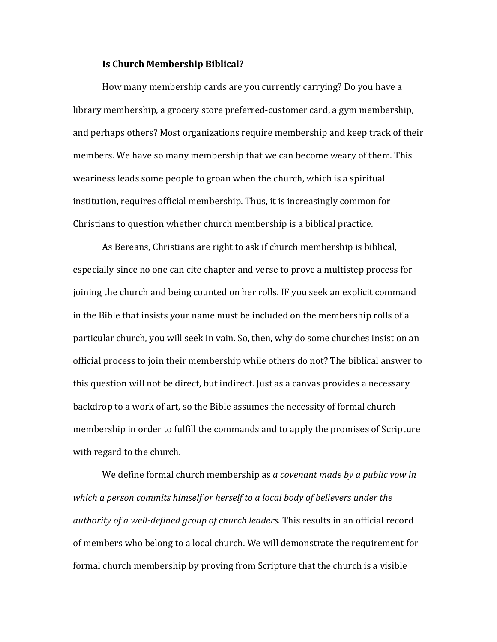## **Is Church Membership Biblical?**

How many membership cards are you currently carrying? Do you have a library membership, a grocery store preferred-customer card, a gym membership, and perhaps others? Most organizations require membership and keep track of their members. We have so many membership that we can become weary of them. This weariness leads some people to groan when the church, which is a spiritual institution, requires official membership. Thus, it is increasingly common for Christians to question whether church membership is a biblical practice.

As Bereans, Christians are right to ask if church membership is biblical, especially since no one can cite chapter and verse to prove a multistep process for joining the church and being counted on her rolls. IF you seek an explicit command in the Bible that insists your name must be included on the membership rolls of a particular church, you will seek in vain. So, then, why do some churches insist on an official process to join their membership while others do not? The biblical answer to this question will not be direct, but indirect. Just as a canvas provides a necessary backdrop to a work of art, so the Bible assumes the necessity of formal church membership in order to fulfill the commands and to apply the promises of Scripture with regard to the church.

We define formal church membership as *a covenant made by a public vow in* which a person commits himself or herself to a local body of believers under the *authority of a well-defined group of church leaders.* This results in an official record of members who belong to a local church. We will demonstrate the requirement for formal church membership by proving from Scripture that the church is a visible